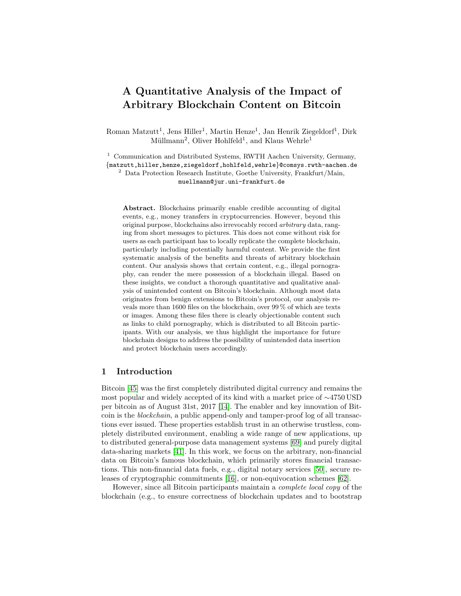# A Quantitative Analysis of the Impact of Arbitrary Blockchain Content on Bitcoin

Roman Matzutt<sup>1</sup>, Jens Hiller<sup>1</sup>, Martin Henze<sup>1</sup>, Jan Henrik Ziegeldorf<sup>1</sup>, Dirk Müllmann<sup>2</sup>, Oliver Hohlfeld<sup>1</sup>, and Klaus Wehrle<sup>1</sup>

<sup>1</sup> Communication and Distributed Systems, RWTH Aachen University, Germany, {matzutt,hiller,henze,ziegeldorf,hohlfeld,wehrle}@comsys.rwth-aachen.de <sup>2</sup> Data Protection Research Institute, Goethe University, Frankfurt/Main,

muellmann@jur.uni-frankfurt.de

Abstract. Blockchains primarily enable credible accounting of digital events, e.g., money transfers in cryptocurrencies. However, beyond this original purpose, blockchains also irrevocably record arbitrary data, ranging from short messages to pictures. This does not come without risk for users as each participant has to locally replicate the complete blockchain, particularly including potentially harmful content. We provide the first systematic analysis of the benefits and threats of arbitrary blockchain content. Our analysis shows that certain content, e.g., illegal pornography, can render the mere possession of a blockchain illegal. Based on these insights, we conduct a thorough quantitative and qualitative analysis of unintended content on Bitcoin's blockchain. Although most data originates from benign extensions to Bitcoin's protocol, our analysis reveals more than 1600 files on the blockchain, over 99 % of which are texts or images. Among these files there is clearly objectionable content such as links to child pornography, which is distributed to all Bitcoin participants. With our analysis, we thus highlight the importance for future blockchain designs to address the possibility of unintended data insertion and protect blockchain users accordingly.

## 1 Introduction

Bitcoin [\[45\]](#page-16-0) was the first completely distributed digital currency and remains the most popular and widely accepted of its kind with a market price of ∼4750 USD per bitcoin as of August 31st, 2017 [\[14\]](#page-15-0). The enabler and key innovation of Bitcoin is the blockchain, a public append-only and tamper-proof log of all transactions ever issued. These properties establish trust in an otherwise trustless, completely distributed environment, enabling a wide range of new applications, up to distributed general-purpose data management systems [\[69\]](#page-17-0) and purely digital data-sharing markets [\[41\]](#page-16-1). In this work, we focus on the arbitrary, non-financial data on Bitcoin's famous blockchain, which primarily stores financial transactions. This non-financial data fuels, e.g., digital notary services [\[50\]](#page-16-2), secure releases of cryptographic commitments [\[16\]](#page-15-1), or non-equivocation schemes [\[62\]](#page-17-1).

However, since all Bitcoin participants maintain a complete local copy of the blockchain (e.g., to ensure correctness of blockchain updates and to bootstrap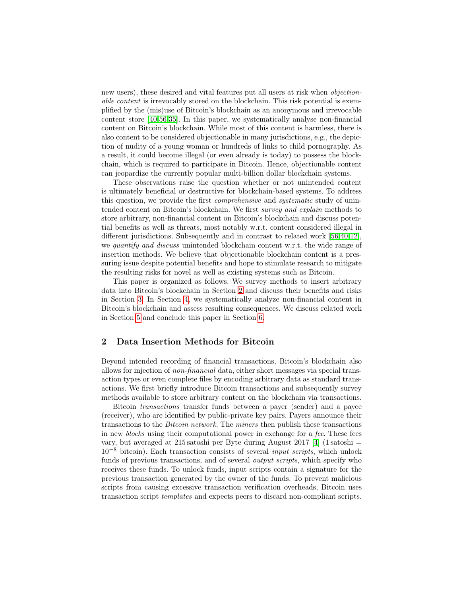new users), these desired and vital features put all users at risk when objectionable content is irrevocably stored on the blockchain. This risk potential is exemplified by the (mis)use of Bitcoin's blockchain as an anonymous and irrevocable content store [\[40,](#page-16-3)[56](#page-17-2)[,35\]](#page-16-4). In this paper, we systematically analyse non-financial content on Bitcoin's blockchain. While most of this content is harmless, there is also content to be considered objectionable in many jurisdictions, e.g., the depiction of nudity of a young woman or hundreds of links to child pornography. As a result, it could become illegal (or even already is today) to possess the blockchain, which is required to participate in Bitcoin. Hence, objectionable content can jeopardize the currently popular multi-billion dollar blockchain systems.

These observations raise the question whether or not unintended content is ultimately beneficial or destructive for blockchain-based systems. To address this question, we provide the first comprehensive and systematic study of unintended content on Bitcoin's blockchain. We first survey and explain methods to store arbitrary, non-financial content on Bitcoin's blockchain and discuss potential benefits as well as threats, most notably w.r.t. content considered illegal in different jurisdictions. Subsequently and in contrast to related work [\[56,](#page-17-2)[40,](#page-16-3)[12\]](#page-15-2), we *quantify and discuss* unintended blockchain content w.r.t. the wide range of insertion methods. We believe that objectionable blockchain content is a pressuring issue despite potential benefits and hope to stimulate research to mitigate the resulting risks for novel as well as existing systems such as Bitcoin.

This paper is organized as follows. We survey methods to insert arbitrary data into Bitcoin's blockchain in Section [2](#page-1-0) and discuss their benefits and risks in Section [3.](#page-4-0) In Section [4,](#page-7-0) we systematically analyze non-financial content in Bitcoin's blockchain and assess resulting consequences. We discuss related work in Section [5](#page-13-0) and conclude this paper in Section [6.](#page-14-0)

#### <span id="page-1-0"></span>2 Data Insertion Methods for Bitcoin

Beyond intended recording of financial transactions, Bitcoin's blockchain also allows for injection of non-financial data, either short messages via special transaction types or even complete files by encoding arbitrary data as standard transactions. We first briefly introduce Bitcoin transactions and subsequently survey methods available to store arbitrary content on the blockchain via transactions.

Bitcoin transactions transfer funds between a payer (sender) and a payee (receiver), who are identified by public-private key pairs. Payers announce their transactions to the Bitcoin network. The miners then publish these transactions in new *blocks* using their computational power in exchange for a fee. These fees vary, but averaged at 215 satoshi per Byte during August 2017 [\[4\]](#page-14-1) (1 satoshi =  $10^{-8}$  bitcoin). Each transaction consists of several *input scripts*, which unlock funds of previous transactions, and of several *output scripts*, which specify who receives these funds. To unlock funds, input scripts contain a signature for the previous transaction generated by the owner of the funds. To prevent malicious scripts from causing excessive transaction verification overheads, Bitcoin uses transaction script templates and expects peers to discard non-compliant scripts.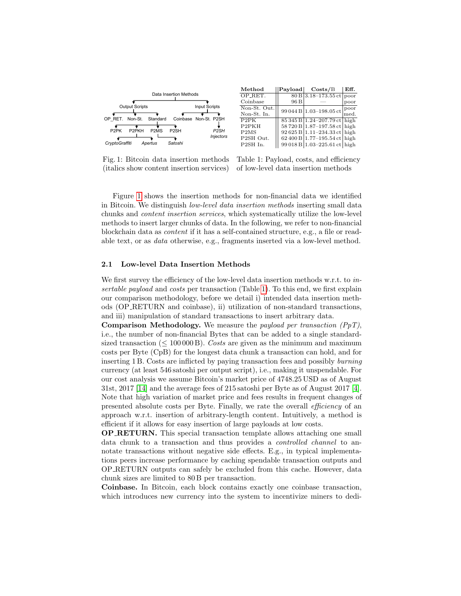<span id="page-2-0"></span>

Fig. 1: Bitcoin data insertion methods (italics show content insertion services)

Table 1: Payload, costs, and efficiency of low-level data insertion methods

Figure [1](#page-2-0) shows the insertion methods for non-financial data we identified in Bitcoin. We distinguish low-level data insertion methods inserting small data chunks and content insertion services, which systematically utilize the low-level methods to insert larger chunks of data. In the following, we refer to non-financial blockchain data as content if it has a self-contained structure, e.g., a file or readable text, or as data otherwise, e.g., fragments inserted via a low-level method.

#### <span id="page-2-1"></span>2.1 Low-level Data Insertion Methods

We first survey the efficiency of the low-level data insertion methods w.r.t. to in-sertable payload and costs per transaction (Table [1\)](#page-2-0). To this end, we first explain our comparison methodology, before we detail i) intended data insertion methods (OP RETURN and coinbase), ii) utilization of non-standard transactions, and iii) manipulation of standard transactions to insert arbitrary data.

**Comparison Methodology.** We measure the *payload per transaction*  $(PyT)$ , i.e., the number of non-financial Bytes that can be added to a single standardsized transaction ( $\leq 100000$ B). Costs are given as the minimum and maximum costs per Byte (CpB) for the longest data chunk a transaction can hold, and for inserting 1 B. Costs are inflicted by paying transaction fees and possibly burning currency (at least 546 satoshi per output script), i.e., making it unspendable. For our cost analysis we assume Bitcoin's market price of 4748.25 USD as of August 31st, 2017 [\[14\]](#page-15-0) and the average fees of 215 satoshi per Byte as of August 2017 [\[4\]](#page-14-1). Note that high variation of market price and fees results in frequent changes of presented absolute costs per Byte. Finally, we rate the overall efficiency of an approach w.r.t. insertion of arbitrary-length content. Intuitively, a method is efficient if it allows for easy insertion of large payloads at low costs.

OP RETURN. This special transaction template allows attaching one small data chunk to a transaction and thus provides a controlled channel to annotate transactions without negative side effects. E.g., in typical implementations peers increase performance by caching spendable transaction outputs and OP RETURN outputs can safely be excluded from this cache. However, data chunk sizes are limited to 80 B per transaction.

Coinbase. In Bitcoin, each block contains exactly one coinbase transaction, which introduces new currency into the system to incentivize miners to dedi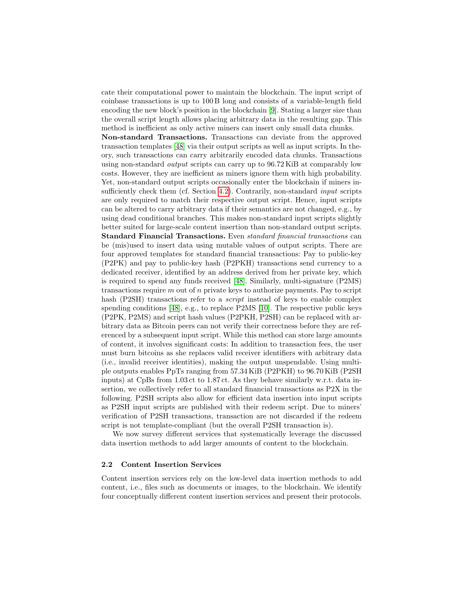cate their computational power to maintain the blockchain. The input script of coinbase transactions is up to 100 B long and consists of a variable-length field encoding the new block's position in the blockchain [\[9\]](#page-15-3). Stating a larger size than the overall script length allows placing arbitrary data in the resulting gap. This method is inefficient as only active miners can insert only small data chunks.

Non-standard Transactions. Transactions can deviate from the approved transaction templates [\[48\]](#page-16-5) via their output scripts as well as input scripts. In theory, such transactions can carry arbitrarily encoded data chunks. Transactions using non-standard output scripts can carry up to 96.72 KiB at comparably low costs. However, they are inefficient as miners ignore them with high probability. Yet, non-standard output scripts occasionally enter the blockchain if miners in-sufficiently check them (cf. Section [4.2\)](#page-8-0). Contrarily, non-standard *input* scripts are only required to match their respective output script. Hence, input scripts can be altered to carry arbitrary data if their semantics are not changed, e.g., by using dead conditional branches. This makes non-standard input scripts slightly better suited for large-scale content insertion than non-standard output scripts. Standard Financial Transactions. Even standard financial transactions can be (mis)used to insert data using mutable values of output scripts. There are four approved templates for standard financial transactions: Pay to public-key (P2PK) and pay to public-key hash (P2PKH) transactions send currency to a dedicated receiver, identified by an address derived from her private key, which is required to spend any funds received [\[48\]](#page-16-5). Similarly, multi-signature (P2MS) transactions require  $m$  out of  $n$  private keys to authorize payments. Pay to script hash (P2SH) transactions refer to a *script* instead of keys to enable complex spending conditions [\[48\]](#page-16-5), e.g., to replace P2MS [\[10\]](#page-15-4). The respective public keys (P2PK, P2MS) and script hash values (P2PKH, P2SH) can be replaced with arbitrary data as Bitcoin peers can not verify their correctness before they are referenced by a subsequent input script. While this method can store large amounts of content, it involves significant costs: In addition to transaction fees, the user must burn bitcoins as she replaces valid receiver identifiers with arbitrary data (i.e., invalid receiver identities), making the output unspendable. Using multiple outputs enables PpTs ranging from 57.34 KiB (P2PKH) to 96.70 KiB (P2SH inputs) at CpBs from 1.03 ct to 1.87 ct. As they behave similarly w.r.t. data insertion, we collectively refer to all standard financial transactions as P2X in the following. P2SH scripts also allow for efficient data insertion into input scripts as P2SH input scripts are published with their redeem script. Due to miners' verification of P2SH transactions, transaction are not discarded if the redeem script is not template-compliant (but the overall P2SH transaction is).

We now survey different services that systematically leverage the discussed data insertion methods to add larger amounts of content to the blockchain.

#### <span id="page-3-0"></span>2.2 Content Insertion Services

Content insertion services rely on the low-level data insertion methods to add content, i.e., files such as documents or images, to the blockchain. We identify four conceptually different content insertion services and present their protocols.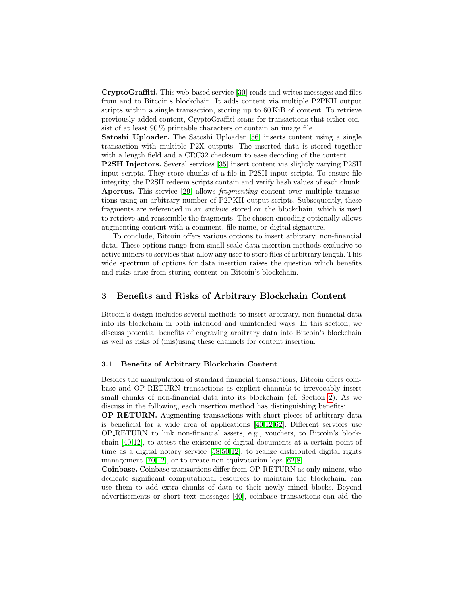CryptoGraffiti. This web-based service [\[30\]](#page-15-5) reads and writes messages and files from and to Bitcoin's blockchain. It adds content via multiple P2PKH output scripts within a single transaction, storing up to 60 KiB of content. To retrieve previously added content, CryptoGraffiti scans for transactions that either consist of at least 90 % printable characters or contain an image file.

Satoshi Uploader. The Satoshi Uploader [\[56\]](#page-17-2) inserts content using a single transaction with multiple P2X outputs. The inserted data is stored together with a length field and a CRC32 checksum to ease decoding of the content.

P2SH Injectors. Several services [\[35\]](#page-16-4) insert content via slightly varying P2SH input scripts. They store chunks of a file in P2SH input scripts. To ensure file integrity, the P2SH redeem scripts contain and verify hash values of each chunk. Apertus. This service [\[29\]](#page-15-6) allows fragmenting content over multiple transactions using an arbitrary number of P2PKH output scripts. Subsequently, these fragments are referenced in an archive stored on the blockchain, which is used to retrieve and reassemble the fragments. The chosen encoding optionally allows augmenting content with a comment, file name, or digital signature.

To conclude, Bitcoin offers various options to insert arbitrary, non-financial data. These options range from small-scale data insertion methods exclusive to active miners to services that allow any user to store files of arbitrary length. This wide spectrum of options for data insertion raises the question which benefits and risks arise from storing content on Bitcoin's blockchain.

#### <span id="page-4-0"></span>3 Benefits and Risks of Arbitrary Blockchain Content

Bitcoin's design includes several methods to insert arbitrary, non-financial data into its blockchain in both intended and unintended ways. In this section, we discuss potential benefits of engraving arbitrary data into Bitcoin's blockchain as well as risks of (mis)using these channels for content insertion.

# <span id="page-4-1"></span>3.1 Benefits of Arbitrary Blockchain Content

Besides the manipulation of standard financial transactions, Bitcoin offers coinbase and OP RETURN transactions as explicit channels to irrevocably insert small chunks of non-financial data into its blockchain (cf. Section [2\)](#page-1-0). As we discuss in the following, each insertion method has distinguishing benefits:

OP RETURN. Augmenting transactions with short pieces of arbitrary data is beneficial for a wide area of applications [\[40,](#page-16-3)[12](#page-15-2)[,62\]](#page-17-1). Different services use OP RETURN to link non-financial assets, e.g., vouchers, to Bitcoin's blockchain [\[40](#page-16-3)[,12\]](#page-15-2), to attest the existence of digital documents at a certain point of time as a digital notary service [\[58,](#page-17-3)[50](#page-16-2)[,12\]](#page-15-2), to realize distributed digital rights management [\[70,](#page-17-4)[12\]](#page-15-2), or to create non-equivocation logs [\[62](#page-17-1)[,8\]](#page-14-2).

Coinbase. Coinbase transactions differ from OP RETURN as only miners, who dedicate significant computational resources to maintain the blockchain, can use them to add extra chunks of data to their newly mined blocks. Beyond advertisements or short text messages [\[40\]](#page-16-3), coinbase transactions can aid the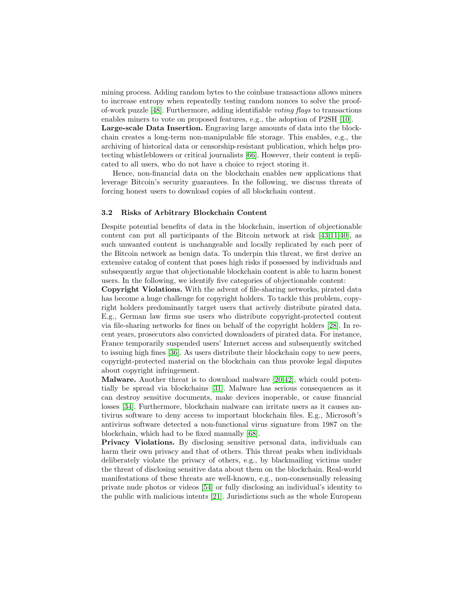mining process. Adding random bytes to the coinbase transactions allows miners to increase entropy when repeatedly testing random nonces to solve the proofof-work puzzle [\[48\]](#page-16-5). Furthermore, adding identifiable voting flags to transactions enables miners to vote on proposed features, e.g., the adoption of P2SH [\[10\]](#page-15-4).

Large-scale Data Insertion. Engraving large amounts of data into the blockchain creates a long-term non-manipulable file storage. This enables, e.g., the archiving of historical data or censorship-resistant publication, which helps protecting whistleblowers or critical journalists [\[66\]](#page-17-5). However, their content is replicated to all users, who do not have a choice to reject storing it.

Hence, non-financial data on the blockchain enables new applications that leverage Bitcoin's security guarantees. In the following, we discuss threats of forcing honest users to download copies of all blockchain content.

#### <span id="page-5-0"></span>3.2 Risks of Arbitrary Blockchain Content

Despite potential benefits of data in the blockchain, insertion of objectionable content can put all participants of the Bitcoin network at risk [\[43,](#page-16-6)[11,](#page-15-7)[40\]](#page-16-3), as such unwanted content is unchangeable and locally replicated by each peer of the Bitcoin network as benign data. To underpin this threat, we first derive an extensive catalog of content that poses high risks if possessed by individuals and subsequently argue that objectionable blockchain content is able to harm honest users. In the following, we identify five categories of objectionable content:

Copyright Violations. With the advent of file-sharing networks, pirated data has become a huge challenge for copyright holders. To tackle this problem, copyright holders predominantly target users that actively distribute pirated data. E.g., German law firms sue users who distribute copyright-protected content via file-sharing networks for fines on behalf of the copyright holders [\[28\]](#page-15-8). In recent years, prosecutors also convicted downloaders of pirated data. For instance, France temporarily suspended users' Internet access and subsequently switched to issuing high fines [\[36\]](#page-16-7). As users distribute their blockchain copy to new peers, copyright-protected material on the blockchain can thus provoke legal disputes about copyright infringement.

Malware. Another threat is to download malware [\[20,](#page-15-9)[42\]](#page-16-8), which could potentially be spread via blockchains [\[31\]](#page-15-10). Malware has serious consequences as it can destroy sensitive documents, make devices inoperable, or cause financial losses [\[34\]](#page-16-9). Furthermore, blockchain malware can irritate users as it causes antivirus software to deny access to important blockchain files. E.g., Microsoft's antivirus software detected a non-functional virus signature from 1987 on the blockchain, which had to be fixed manually [\[68\]](#page-17-6).

Privacy Violations. By disclosing sensitive personal data, individuals can harm their own privacy and that of others. This threat peaks when individuals deliberately violate the privacy of others, e.g., by blackmailing victims under the threat of disclosing sensitive data about them on the blockchain. Real-world manifestations of these threats are well-known, e.g., non-consensually releasing private nude photos or videos [\[54\]](#page-17-7) or fully disclosing an individual's identity to the public with malicious intents [\[21\]](#page-15-11). Jurisdictions such as the whole European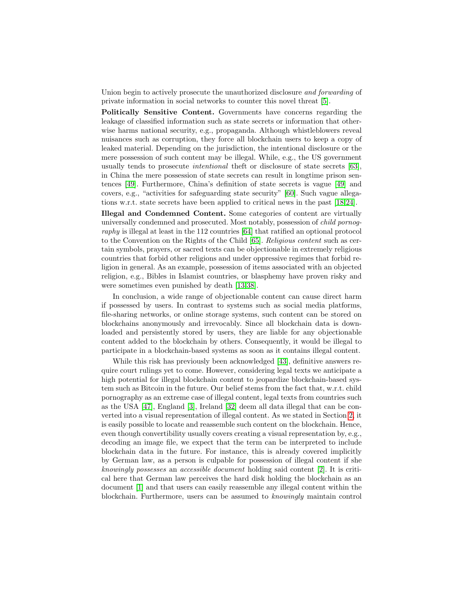Union begin to actively prosecute the unauthorized disclosure and forwarding of private information in social networks to counter this novel threat [\[5\]](#page-14-3).

Politically Sensitive Content. Governments have concerns regarding the leakage of classified information such as state secrets or information that otherwise harms national security, e.g., propaganda. Although whistleblowers reveal nuisances such as corruption, they force all blockchain users to keep a copy of leaked material. Depending on the jurisdiction, the intentional disclosure or the mere possession of such content may be illegal. While, e.g., the US government usually tends to prosecute intentional theft or disclosure of state secrets [\[63\]](#page-17-8), in China the mere possession of state secrets can result in longtime prison sentences [\[49\]](#page-16-10). Furthermore, China's definition of state secrets is vague [\[49\]](#page-16-10) and covers, e.g., "activities for safeguarding state security" [\[60\]](#page-17-9). Such vague allegations w.r.t. state secrets have been applied to critical news in the past [\[18,](#page-15-12)[24\]](#page-15-13).

Illegal and Condemned Content. Some categories of content are virtually universally condemned and prosecuted. Most notably, possession of child pornography is illegal at least in the 112 countries [\[64\]](#page-17-10) that ratified an optional protocol to the Convention on the Rights of the Child [\[65\]](#page-17-11). Religious content such as certain symbols, prayers, or sacred texts can be objectionable in extremely religious countries that forbid other religions and under oppressive regimes that forbid religion in general. As an example, possession of items associated with an objected religion, e.g., Bibles in Islamist countries, or blasphemy have proven risky and were sometimes even punished by death [\[13,](#page-15-14)[38\]](#page-16-11).

In conclusion, a wide range of objectionable content can cause direct harm if possessed by users. In contrast to systems such as social media platforms, file-sharing networks, or online storage systems, such content can be stored on blockchains anonymously and irrevocably. Since all blockchain data is downloaded and persistently stored by users, they are liable for any objectionable content added to the blockchain by others. Consequently, it would be illegal to participate in a blockchain-based systems as soon as it contains illegal content.

While this risk has previously been acknowledged [\[43\]](#page-16-6), definitive answers require court rulings yet to come. However, considering legal texts we anticipate a high potential for illegal blockchain content to jeopardize blockchain-based system such as Bitcoin in the future. Our belief stems from the fact that, w.r.t. child pornography as an extreme case of illegal content, legal texts from countries such as the USA [\[47\]](#page-16-12), England [\[3\]](#page-14-4), Ireland [\[32\]](#page-16-13) deem all data illegal that can be converted into a visual representation of illegal content. As we stated in Section [2,](#page-1-0) it is easily possible to locate and reassemble such content on the blockchain. Hence, even though convertibility usually covers creating a visual representation by, e.g., decoding an image file, we expect that the term can be interpreted to include blockchain data in the future. For instance, this is already covered implicitly by German law, as a person is culpable for possession of illegal content if she knowingly possesses an accessible document holding said content [\[2\]](#page-14-5). It is critical here that German law perceives the hard disk holding the blockchain as an document [\[1\]](#page-14-6) and that users can easily reassemble any illegal content within the blockchain. Furthermore, users can be assumed to knowingly maintain control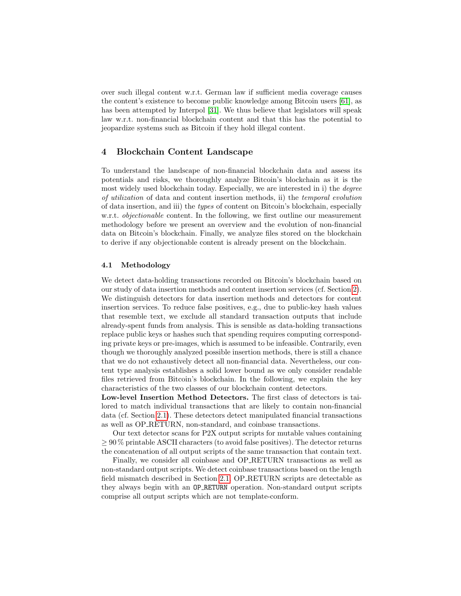over such illegal content w.r.t. German law if sufficient media coverage causes the content's existence to become public knowledge among Bitcoin users [\[61\]](#page-17-12), as has been attempted by Interpol [\[31\]](#page-15-10). We thus believe that legislators will speak law w.r.t. non-financial blockchain content and that this has the potential to jeopardize systems such as Bitcoin if they hold illegal content.

# <span id="page-7-0"></span>4 Blockchain Content Landscape

To understand the landscape of non-financial blockchain data and assess its potentials and risks, we thoroughly analyze Bitcoin's blockchain as it is the most widely used blockchain today. Especially, we are interested in i) the degree of utilization of data and content insertion methods, ii) the temporal evolution of data insertion, and iii) the types of content on Bitcoin's blockchain, especially w.r.t. *objectionable* content. In the following, we first outline our measurement methodology before we present an overview and the evolution of non-financial data on Bitcoin's blockchain. Finally, we analyze files stored on the blockchain to derive if any objectionable content is already present on the blockchain.

#### 4.1 Methodology

We detect data-holding transactions recorded on Bitcoin's blockchain based on our study of data insertion methods and content insertion services (cf. Section [2\)](#page-1-0). We distinguish detectors for data insertion methods and detectors for content insertion services. To reduce false positives, e.g., due to public-key hash values that resemble text, we exclude all standard transaction outputs that include already-spent funds from analysis. This is sensible as data-holding transactions replace public keys or hashes such that spending requires computing corresponding private keys or pre-images, which is assumed to be infeasible. Contrarily, even though we thoroughly analyzed possible insertion methods, there is still a chance that we do not exhaustively detect all non-financial data. Nevertheless, our content type analysis establishes a solid lower bound as we only consider readable files retrieved from Bitcoin's blockchain. In the following, we explain the key characteristics of the two classes of our blockchain content detectors.

Low-level Insertion Method Detectors. The first class of detectors is tailored to match individual transactions that are likely to contain non-financial data (cf. Section [2.1\)](#page-2-1). These detectors detect manipulated financial transactions as well as OP RETURN, non-standard, and coinbase transactions.

Our text detector scans for P2X output scripts for mutable values containing  $\geq 90\%$  printable ASCII characters (to avoid false positives). The detector returns the concatenation of all output scripts of the same transaction that contain text.

Finally, we consider all coinbase and OP RETURN transactions as well as non-standard output scripts. We detect coinbase transactions based on the length field mismatch described in Section [2.1.](#page-2-1) OP RETURN scripts are detectable as they always begin with an OP RETURN operation. Non-standard output scripts comprise all output scripts which are not template-conform.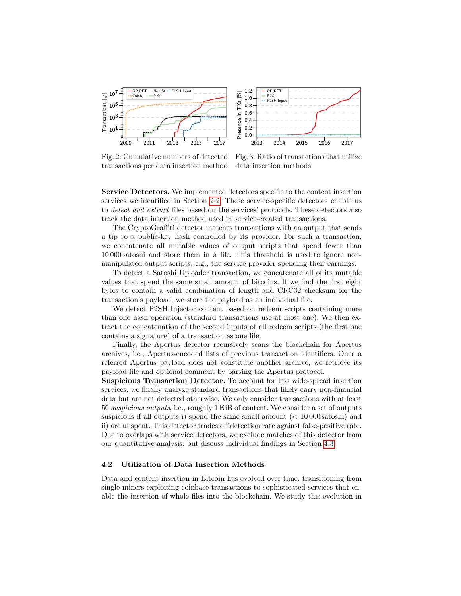<span id="page-8-1"></span>

Fig. 2: Cumulative numbers of detected transactions per data insertion method

Fig. 3: Ratio of transactions that utilize data insertion methods

Service Detectors. We implemented detectors specific to the content insertion services we identified in Section [2.2.](#page-3-0) These service-specific detectors enable us to detect and extract files based on the services' protocols. These detectors also track the data insertion method used in service-created transactions.

The CryptoGraffiti detector matches transactions with an output that sends a tip to a public-key hash controlled by its provider. For such a transaction, we concatenate all mutable values of output scripts that spend fewer than 10 000 satoshi and store them in a file. This threshold is used to ignore nonmanipulated output scripts, e.g., the service provider spending their earnings.

To detect a Satoshi Uploader transaction, we concatenate all of its mutable values that spend the same small amount of bitcoins. If we find the first eight bytes to contain a valid combination of length and CRC32 checksum for the transaction's payload, we store the payload as an individual file.

We detect P2SH Injector content based on redeem scripts containing more than one hash operation (standard transactions use at most one). We then extract the concatenation of the second inputs of all redeem scripts (the first one contains a signature) of a transaction as one file.

Finally, the Apertus detector recursively scans the blockchain for Apertus archives, i.e., Apertus-encoded lists of previous transaction identifiers. Once a referred Apertus payload does not constitute another archive, we retrieve its payload file and optional comment by parsing the Apertus protocol.

Suspicious Transaction Detector. To account for less wide-spread insertion services, we finally analyze standard transactions that likely carry non-financial data but are not detected otherwise. We only consider transactions with at least 50 suspicious outputs, i.e., roughly 1 KiB of content. We consider a set of outputs suspicious if all outputs i) spend the same small amount  $(< 10000$  satoshi) and ii) are unspent. This detector trades off detection rate against false-positive rate. Due to overlaps with service detectors, we exclude matches of this detector from our quantitative analysis, but discuss individual findings in Section [4.3.](#page-11-0)

#### <span id="page-8-0"></span>4.2 Utilization of Data Insertion Methods

Data and content insertion in Bitcoin has evolved over time, transitioning from single miners exploiting coinbase transactions to sophisticated services that enable the insertion of whole files into the blockchain. We study this evolution in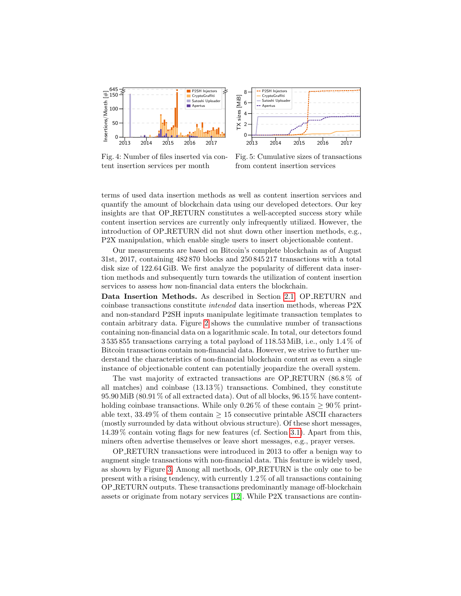<span id="page-9-0"></span>

Fig. 4: Number of files inserted via content insertion services per month



Fig. 5: Cumulative sizes of transactions from content insertion services

terms of used data insertion methods as well as content insertion services and quantify the amount of blockchain data using our developed detectors. Our key insights are that OP RETURN constitutes a well-accepted success story while content insertion services are currently only infrequently utilized. However, the introduction of OP RETURN did not shut down other insertion methods, e.g., P2X manipulation, which enable single users to insert objectionable content.

Our measurements are based on Bitcoin's complete blockchain as of August 31st, 2017, containing 482 870 blocks and 250 845 217 transactions with a total disk size of 122.64 GiB. We first analyze the popularity of different data insertion methods and subsequently turn towards the utilization of content insertion services to assess how non-financial data enters the blockchain.

Data Insertion Methods. As described in Section [2.1,](#page-2-1) OP RETURN and coinbase transactions constitute intended data insertion methods, whereas P2X and non-standard P2SH inputs manipulate legitimate transaction templates to contain arbitrary data. Figure [2](#page-8-1) shows the cumulative number of transactions containing non-financial data on a logarithmic scale. In total, our detectors found 3 535 855 transactions carrying a total payload of 118.53 MiB, i.e., only 1.4 % of Bitcoin transactions contain non-financial data. However, we strive to further understand the characteristics of non-financial blockchain content as even a single instance of objectionable content can potentially jeopardize the overall system.

The vast majority of extracted transactions are OP RETURN (86.8 % of all matches) and coinbase  $(13.13\%)$  transactions. Combined, they constitute 95.90 MiB (80.91 % of all extracted data). Out of all blocks, 96.15 % have contentholding coinbase transactions. While only 0.26 % of these contain  $\geq 90\%$  printable text,  $33.49\%$  of them contain  $\geq 15$  consecutive printable ASCII characters (mostly surrounded by data without obvious structure). Of these short messages, 14.39 % contain voting flags for new features (cf. Section [3.1\)](#page-4-1). Apart from this, miners often advertise themselves or leave short messages, e.g., prayer verses.

OP RETURN transactions were introduced in 2013 to offer a benign way to augment single transactions with non-financial data. This feature is widely used, as shown by Figure [3.](#page-8-1) Among all methods, OP RETURN is the only one to be present with a rising tendency, with currently  $1.2\%$  of all transactions containing OP RETURN outputs. These transactions predominantly manage off-blockchain assets or originate from notary services [\[12\]](#page-15-2). While P2X transactions are contin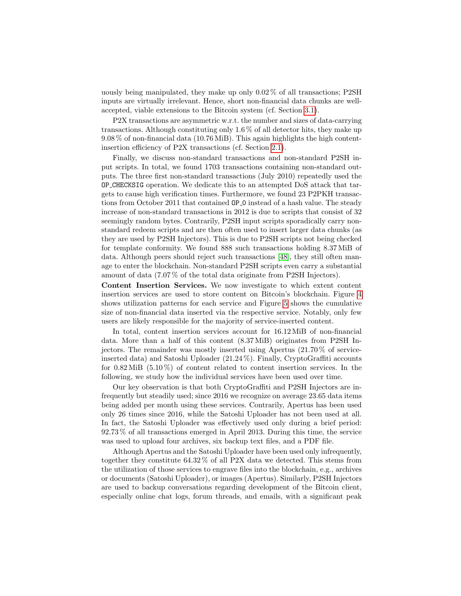uously being manipulated, they make up only 0.02 % of all transactions; P2SH inputs are virtually irrelevant. Hence, short non-financial data chunks are wellaccepted, viable extensions to the Bitcoin system (cf. Section [3.1\)](#page-4-1).

P2X transactions are asymmetric w.r.t. the number and sizes of data-carrying transactions. Although constituting only 1.6 % of all detector hits, they make up 9.08 % of non-financial data (10.76 MiB). This again highlights the high contentinsertion efficiency of P2X transactions (cf. Section [2.1\)](#page-2-1).

Finally, we discuss non-standard transactions and non-standard P2SH input scripts. In total, we found 1703 transactions containing non-standard outputs. The three first non-standard transactions (July 2010) repeatedly used the OP CHECKSIG operation. We dedicate this to an attempted DoS attack that targets to cause high verification times. Furthermore, we found 23 P2PKH transactions from October 2011 that contained OP<sub>-</sub>O instead of a hash value. The steady increase of non-standard transactions in 2012 is due to scripts that consist of 32 seemingly random bytes. Contrarily, P2SH input scripts sporadically carry nonstandard redeem scripts and are then often used to insert larger data chunks (as they are used by P2SH Injectors). This is due to P2SH scripts not being checked for template conformity. We found 888 such transactions holding 8.37 MiB of data. Although peers should reject such transactions [\[48\]](#page-16-5), they still often manage to enter the blockchain. Non-standard P2SH scripts even carry a substantial amount of data (7.07 % of the total data originate from P2SH Injectors).

Content Insertion Services. We now investigate to which extent content insertion services are used to store content on Bitcoin's blockchain. Figure [4](#page-9-0) shows utilization patterns for each service and Figure [5](#page-9-0) shows the cumulative size of non-financial data inserted via the respective service. Notably, only few users are likely responsible for the majority of service-inserted content.

In total, content insertion services account for 16.12 MiB of non-financial data. More than a half of this content (8.37 MiB) originates from P2SH Injectors. The remainder was mostly inserted using Apertus (21.70 % of serviceinserted data) and Satoshi Uploader (21.24 %). Finally, CryptoGraffiti accounts for  $0.82 \text{ MiB}$  (5.10%) of content related to content insertion services. In the following, we study how the individual services have been used over time.

Our key observation is that both CryptoGraffiti and P2SH Injectors are infrequently but steadily used; since 2016 we recognize on average 23.65 data items being added per month using these services. Contrarily, Apertus has been used only 26 times since 2016, while the Satoshi Uploader has not been used at all. In fact, the Satoshi Uploader was effectively used only during a brief period: 92.73 % of all transactions emerged in April 2013. During this time, the service was used to upload four archives, six backup text files, and a PDF file.

Although Apertus and the Satoshi Uploader have been used only infrequently, together they constitute 64.32 % of all P2X data we detected. This stems from the utilization of those services to engrave files into the blockchain, e.g., archives or documents (Satoshi Uploader), or images (Apertus). Similarly, P2SH Injectors are used to backup conversations regarding development of the Bitcoin client, especially online chat logs, forum threads, and emails, with a significant peak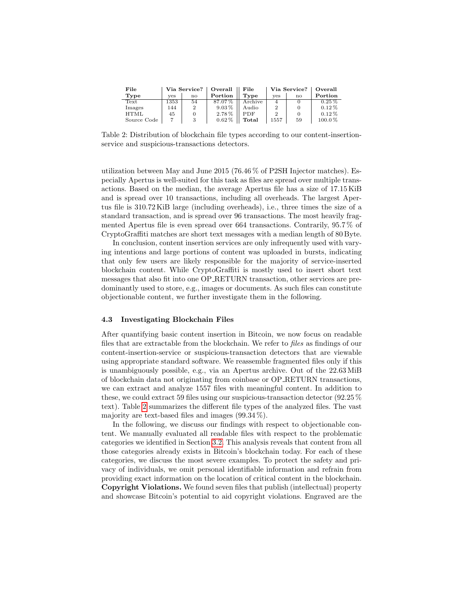<span id="page-11-1"></span>

| File        | Via Service? |    | Overall    | File       | Via Service? |              | Overall   |
|-------------|--------------|----|------------|------------|--------------|--------------|-----------|
| Type        | ves          | no | Portion    | Type       | ves          | $\mathbf{n}$ | Portion   |
| Text        | 1353         | 54 | 87.07%     | Archive    | 4            |              | $0.25\%$  |
| Images      | 144          | 2  | $9.03\,\%$ | Audio      |              |              | $0.12\%$  |
| <b>HTML</b> | 45           |    | 2.78%      | <b>PDF</b> |              |              | $0.12\%$  |
| Source Code |              |    | $0.62\%$   | Total      | 1557         | 59           | $100.0\%$ |

Table 2: Distribution of blockchain file types according to our content-insertionservice and suspicious-transactions detectors.

utilization between May and June 2015 (76.46 % of P2SH Injector matches). Especially Apertus is well-suited for this task as files are spread over multiple transactions. Based on the median, the average Apertus file has a size of 17.15 KiB and is spread over 10 transactions, including all overheads. The largest Apertus file is 310.72 KiB large (including overheads), i.e., three times the size of a standard transaction, and is spread over 96 transactions. The most heavily fragmented Apertus file is even spread over 664 transactions. Contrarily, 95.7 % of CryptoGraffiti matches are short text messages with a median length of 80 Byte.

In conclusion, content insertion services are only infrequently used with varying intentions and large portions of content was uploaded in bursts, indicating that only few users are likely responsible for the majority of service-inserted blockchain content. While CryptoGraffiti is mostly used to insert short text messages that also fit into one OP RETURN transaction, other services are predominantly used to store, e.g., images or documents. As such files can constitute objectionable content, we further investigate them in the following.

#### <span id="page-11-0"></span>4.3 Investigating Blockchain Files

After quantifying basic content insertion in Bitcoin, we now focus on readable files that are extractable from the blockchain. We refer to files as findings of our content-insertion-service or suspicious-transaction detectors that are viewable using appropriate standard software. We reassemble fragmented files only if this is unambiguously possible, e.g., via an Apertus archive. Out of the 22.63 MiB of blockchain data not originating from coinbase or OP RETURN transactions, we can extract and analyze 1557 files with meaningful content. In addition to these, we could extract 59 files using our suspicious-transaction detector (92.25 % text). Table [2](#page-11-1) summarizes the different file types of the analyzed files. The vast majority are text-based files and images  $(99.34\%)$ .

In the following, we discuss our findings with respect to objectionable content. We manually evaluated all readable files with respect to the problematic categories we identified in Section [3.2.](#page-5-0) This analysis reveals that content from all those categories already exists in Bitcoin's blockchain today. For each of these categories, we discuss the most severe examples. To protect the safety and privacy of individuals, we omit personal identifiable information and refrain from providing exact information on the location of critical content in the blockchain. Copyright Violations. We found seven files that publish (intellectual) property and showcase Bitcoin's potential to aid copyright violations. Engraved are the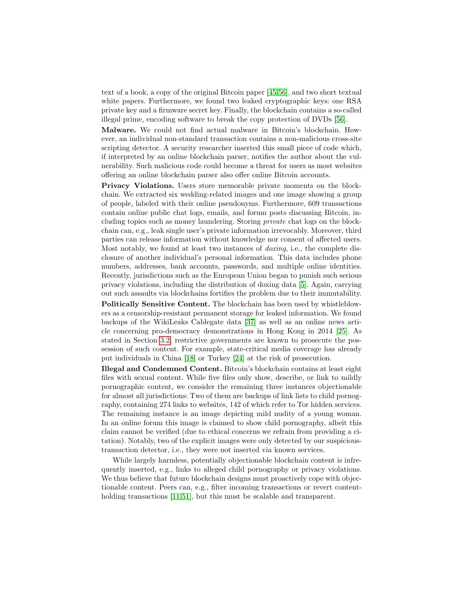text of a book, a copy of the original Bitcoin paper [\[45,](#page-16-0)[56\]](#page-17-2), and two short textual white papers. Furthermore, we found two leaked cryptographic keys: one RSA private key and a firmware secret key. Finally, the blockchain contains a so-called illegal prime, encoding software to break the copy protection of DVDs [\[56\]](#page-17-2).

Malware. We could not find actual malware in Bitcoin's blockchain. However, an individual non-standard transaction contains a non-malicious cross-site scripting detector. A security researcher inserted this small piece of code which, if interpreted by an online blockchain parser, notifies the author about the vulnerability. Such malicious code could become a threat for users as most websites offering an online blockchain parser also offer online Bitcoin accounts.

Privacy Violations. Users store memorable private moments on the blockchain. We extracted six wedding-related images and one image showing a group of people, labeled with their online pseudonyms. Furthermore, 609 transactions contain online public chat logs, emails, and forum posts discussing Bitcoin, including topics such as money laundering. Storing private chat logs on the blockchain can, e.g., leak single user's private information irrevocably. Moreover, third parties can release information without knowledge nor consent of affected users. Most notably, we found at least two instances of doxing, i.e., the complete disclosure of another individual's personal information. This data includes phone numbers, addresses, bank accounts, passwords, and multiple online identities. Recently, jurisdictions such as the European Union began to punish such serious privacy violations, including the distribution of doxing data [\[5\]](#page-14-3). Again, carrying out such assaults via blockchains fortifies the problem due to their immutability.

Politically Sensitive Content. The blockchain has been used by whistleblowers as a censorship-resistant permanent storage for leaked information. We found backups of the WikiLeaks Cablegate data [\[37\]](#page-16-14) as well as an online news article concerning pro-democracy demonstrations in Hong Kong in 2014 [\[25\]](#page-15-15). As stated in Section [3.2,](#page-5-0) restrictive governments are known to prosecute the possession of such content. For example, state-critical media coverage has already put individuals in China [\[18\]](#page-15-12) or Turkey [\[24\]](#page-15-13) at the risk of prosecution.

Illegal and Condemned Content. Bitcoin's blockchain contains at least eight files with sexual content. While five files only show, describe, or link to mildly pornographic content, we consider the remaining three instances objectionable for almost all jurisdictions: Two of them are backups of link lists to child pornography, containing 274 links to websites, 142 of which refer to Tor hidden services. The remaining instance is an image depicting mild nudity of a young woman. In an online forum this image is claimed to show child pornography, albeit this claim cannot be verified (due to ethical concerns we refrain from providing a citation). Notably, two of the explicit images were only detected by our suspicioustransaction detector, i.e., they were not inserted via known services.

While largely harmless, potentially objectionable blockchain content is infrequently inserted, e.g., links to alleged child pornography or privacy violations. We thus believe that future blockchain designs must proactively cope with objectionable content. Peers can, e.g., filter incoming transactions or revert content-holding transactions [\[11,](#page-15-7)[51\]](#page-16-15), but this must be scalable and transparent.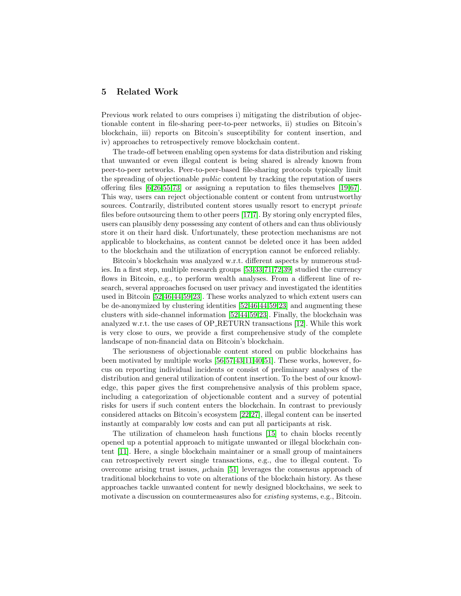# <span id="page-13-0"></span>5 Related Work

Previous work related to ours comprises i) mitigating the distribution of objectionable content in file-sharing peer-to-peer networks, ii) studies on Bitcoin's blockchain, iii) reports on Bitcoin's susceptibility for content insertion, and iv) approaches to retrospectively remove blockchain content.

The trade-off between enabling open systems for data distribution and risking that unwanted or even illegal content is being shared is already known from peer-to-peer networks. Peer-to-peer-based file-sharing protocols typically limit the spreading of objectionable *public* content by tracking the reputation of users offering files  $[6,26,55,73]$  $[6,26,55,73]$  $[6,26,55,73]$  $[6,26,55,73]$  or assigning a reputation to files themselves [\[19,](#page-15-17)[67\]](#page-17-15). This way, users can reject objectionable content or content from untrustworthy sources. Contrarily, distributed content stores usually resort to encrypt *private* files before outsourcing them to other peers [\[17,](#page-15-18)[7\]](#page-14-8). By storing only encrypted files, users can plausibly deny possessing any content of others and can thus obliviously store it on their hard disk. Unfortunately, these protection mechanisms are not applicable to blockchains, as content cannot be deleted once it has been added to the blockchain and the utilization of encryption cannot be enforced reliably.

Bitcoin's blockchain was analyzed w.r.t. different aspects by numerous studies. In a first step, multiple research groups [\[53,](#page-16-16)[33](#page-16-17)[,71,](#page-17-16)[72,](#page-17-17)[39\]](#page-16-18) studied the currency flows in Bitcoin, e.g., to perform wealth analyses. From a different line of research, several approaches focused on user privacy and investigated the identities used in Bitcoin [\[52,](#page-16-19)[46,](#page-16-20)[44,](#page-16-21)[59](#page-17-18)[,23\]](#page-15-19). These works analyzed to which extent users can be de-anonymized by clustering identities [\[52,](#page-16-19)[46,](#page-16-20)[44,](#page-16-21)[59](#page-17-18)[,23\]](#page-15-19) and augmenting these clusters with side-channel information [\[52,](#page-16-19)[44,](#page-16-21)[59,](#page-17-18)[23\]](#page-15-19). Finally, the blockchain was analyzed w.r.t. the use cases of OP RETURN transactions [\[12\]](#page-15-2). While this work is very close to ours, we provide a first comprehensive study of the complete landscape of non-financial data on Bitcoin's blockchain.

The seriousness of objectionable content stored on public blockchains has been motivated by multiple works [\[56,](#page-17-2)[57,](#page-17-19)[43,](#page-16-6)[11](#page-15-7)[,40,](#page-16-3)[51\]](#page-16-15). These works, however, focus on reporting individual incidents or consist of preliminary analyses of the distribution and general utilization of content insertion. To the best of our knowledge, this paper gives the first comprehensive analysis of this problem space, including a categorization of objectionable content and a survey of potential risks for users if such content enters the blockchain. In contrast to previously considered attacks on Bitcoin's ecosystem [\[22,](#page-15-20)[27\]](#page-15-21), illegal content can be inserted instantly at comparably low costs and can put all participants at risk.

The utilization of chameleon hash functions [\[15\]](#page-15-22) to chain blocks recently opened up a potential approach to mitigate unwanted or illegal blockchain content [\[11\]](#page-15-7). Here, a single blockchain maintainer or a small group of maintainers can retrospectively revert single transactions, e.g., due to illegal content. To overcome arising trust issues,  $\mu$ chain [\[51\]](#page-16-15) leverages the consensus approach of traditional blockchains to vote on alterations of the blockchain history. As these approaches tackle unwanted content for newly designed blockchains, we seek to motivate a discussion on countermeasures also for *existing* systems, e.g., Bitcoin.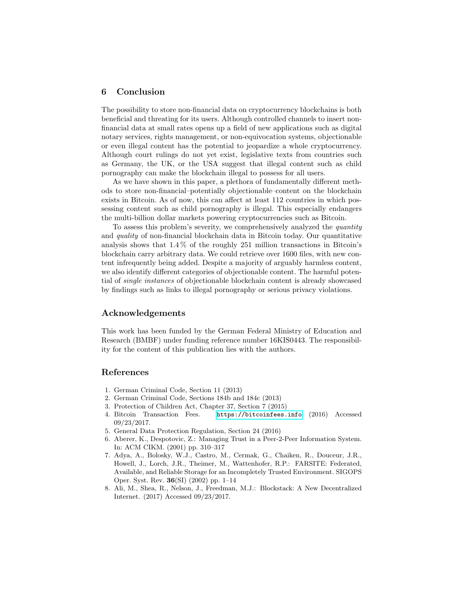# <span id="page-14-0"></span>6 Conclusion

The possibility to store non-financial data on cryptocurrency blockchains is both beneficial and threating for its users. Although controlled channels to insert nonfinancial data at small rates opens up a field of new applications such as digital notary services, rights management, or non-equivocation systems, objectionable or even illegal content has the potential to jeopardize a whole cryptocurrency. Although court rulings do not yet exist, legislative texts from countries such as Germany, the UK, or the USA suggest that illegal content such as child pornography can make the blockchain illegal to possess for all users.

As we have shown in this paper, a plethora of fundamentally different methods to store non-financial–potentially objectionable–content on the blockchain exists in Bitcoin. As of now, this can affect at least 112 countries in which possessing content such as child pornography is illegal. This especially endangers the multi-billion dollar markets powering cryptocurrencies such as Bitcoin.

To assess this problem's severity, we comprehensively analyzed the quantity and quality of non-financial blockchain data in Bitcoin today. Our quantitative analysis shows that 1.4 % of the roughly 251 million transactions in Bitcoin's blockchain carry arbitrary data. We could retrieve over 1600 files, with new content infrequently being added. Despite a majority of arguably harmless content, we also identify different categories of objectionable content. The harmful potential of single instances of objectionable blockchain content is already showcased by findings such as links to illegal pornography or serious privacy violations.

#### Acknowledgements

This work has been funded by the German Federal Ministry of Education and Research (BMBF) under funding reference number 16KIS0443. The responsibility for the content of this publication lies with the authors.

# References

- <span id="page-14-6"></span>1. German Criminal Code, Section 11 (2013)
- <span id="page-14-5"></span>2. German Criminal Code, Sections 184b and 184c (2013)
- <span id="page-14-4"></span>3. Protection of Children Act, Chapter 37, Section 7 (2015)
- <span id="page-14-1"></span>4. Bitcoin Transaction Fees. <https://bitcoinfees.info> (2016) Accessed 09/23/2017.
- <span id="page-14-3"></span>5. General Data Protection Regulation, Section 24 (2016)
- <span id="page-14-7"></span>6. Aberer, K., Despotovic, Z.: Managing Trust in a Peer-2-Peer Information System. In: ACM CIKM. (2001) pp. 310–317
- <span id="page-14-8"></span>7. Adya, A., Bolosky, W.J., Castro, M., Cermak, G., Chaiken, R., Douceur, J.R., Howell, J., Lorch, J.R., Theimer, M., Wattenhofer, R.P.: FARSITE: Federated, Available, and Reliable Storage for an Incompletely Trusted Environment. SIGOPS Oper. Syst. Rev. 36(SI) (2002) pp. 1–14
- <span id="page-14-2"></span>8. Ali, M., Shea, R., Nelson, J., Freedman, M.J.: Blockstack: A New Decentralized Internet. (2017) Accessed 09/23/2017.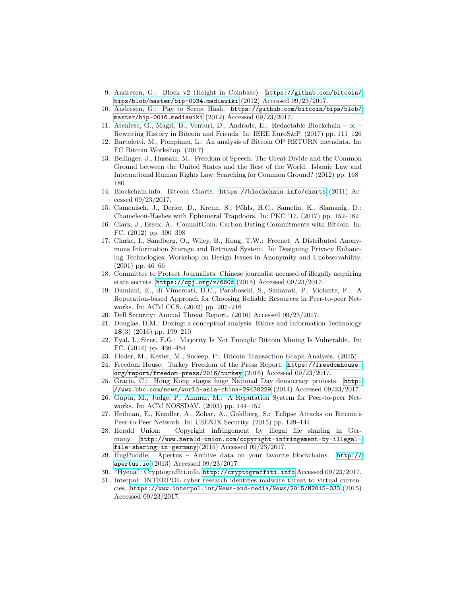- <span id="page-15-3"></span>9. Andresen, G.: Block v2 (Height in Coinbase). [https://github.com/bitcoin/](https://github.com/bitcoin/bips/blob/master/bip-0034.mediawiki) [bips/blob/master/bip-0034.mediawiki](https://github.com/bitcoin/bips/blob/master/bip-0034.mediawiki) (2012) Accessed 09/23/2017.
- <span id="page-15-4"></span>10. Andresen, G.: Pay to Script Hash. [https://github.com/bitcoin/bips/blob/](https://github.com/bitcoin/bips/blob/master/bip-0016.mediawiki) [master/bip-0016.mediawiki](https://github.com/bitcoin/bips/blob/master/bip-0016.mediawiki) (2012) Accessed 09/23/2017.
- <span id="page-15-7"></span>11. Ateniese, G., Magri, B., Venturi, D., Andrade, E.: Redactable Blockchain – or – Rewriting History in Bitcoin and Friends. In: IEEE EuroS&P. (2017) pp. 111–126
- <span id="page-15-2"></span>12. Bartoletti, M., Pompianu, L.: An analysis of Bitcoin OP RETURN metadata. In: FC Bitcoin Workshop. (2017)
- <span id="page-15-14"></span>13. Bellinger, J., Hussain, M.: Freedom of Speech: The Great Divide and the Common Ground between the United States and the Rest of the World. Islamic Law and International Human Rights Law: Searching for Common Ground? (2012) pp. 168– 180
- <span id="page-15-0"></span>14. Blockchain.info: Bitcoin Charts. <https://blockchain.info/charts> (2011) Accessed 09/23/2017.
- <span id="page-15-22"></span>15. Camenisch, J., Derler, D., Krenn, S., Pöhls, H.C., Samelin, K., Slamanig, D.: Chameleon-Hashes with Ephemeral Trapdoors. In: PKC '17. (2017) pp. 152–182
- <span id="page-15-1"></span>16. Clark, J., Essex, A.: CommitCoin: Carbon Dating Commitments with Bitcoin. In: FC. (2012) pp. 390–398
- <span id="page-15-18"></span>17. Clarke, I., Sandberg, O., Wiley, B., Hong, T.W.: Freenet: A Distributed Anonymous Information Storage and Retrieval System. In: Designing Privacy Enhancing Technologies: Workshop on Design Issues in Anonymity and Unobservability. (2001) pp. 46–66
- <span id="page-15-12"></span>18. Committee to Protect Journalists: Chinese journalist accused of illegally acquiring state secrets. <https://cpj.org/x/660d> (2015) Accessed 09/23/2017.
- <span id="page-15-17"></span>19. Damiani, E., di Vimercati, D.C., Paraboschi, S., Samarati, P., Violante, F.: A Reputation-based Approach for Choosing Reliable Resources in Peer-to-peer Networks. In: ACM CCS. (2002) pp. 207–216
- <span id="page-15-9"></span>20. Dell Security: Annual Threat Report. (2016) Accessed 09/23/2017.
- <span id="page-15-11"></span>21. Douglas, D.M.: Doxing: a conceptual analysis. Ethics and Information Technology 18(3) (2016) pp. 199–210
- <span id="page-15-20"></span>22. Eyal, I., Sirer, E.G.: Majority Is Not Enough: Bitcoin Mining Is Vulnerable. In: FC. (2014) pp. 436–454
- <span id="page-15-19"></span>23. Fleder, M., Kester, M., Sudeep, P.: Bitcoin Transaction Graph Analysis. (2015)
- <span id="page-15-13"></span>24. Freedom House: Turkey Freedom of the Press Report. [https://freedomhouse.](https://freedomhouse.org/report/freedom-press/2016/turkey) [org/report/freedom-press/2016/turkey](https://freedomhouse.org/report/freedom-press/2016/turkey) (2016) Accessed 09/23/2017.
- <span id="page-15-15"></span>25. Gracie, C.: Hong Kong stages huge National Day democracy protests. [http:](http://www.bbc.com/news/world-asia-china-29430229) [//www.bbc.com/news/world-asia-china-29430229](http://www.bbc.com/news/world-asia-china-29430229) (2014) Accessed 09/23/2017.
- <span id="page-15-16"></span>26. Gupta, M., Judge, P., Ammar, M.: A Reputation System for Peer-to-peer Networks. In: ACM NOSSDAV. (2003) pp. 144–152
- <span id="page-15-21"></span>27. Heilman, E., Kendler, A., Zohar, A., Goldberg, S.: Eclipse Attacks on Bitcoin's Peer-to-Peer Network. In: USENIX Security. (2015) pp. 129–144
- <span id="page-15-8"></span>28. Herald Union: Copyright infringement by illegal file sharing in Germany. [http://www.herald-union.com/copyright-infringement-by-illegal](http://www.herald-union.com/copyright-infringement-by-illegal-file-sharing-in-germany)[file-sharing-in-germany](http://www.herald-union.com/copyright-infringement-by-illegal-file-sharing-in-germany) (2015) Accessed 09/23/2017.
- <span id="page-15-6"></span>29. HugPuddle: Apertus – Archive data on your favorite blockchains. [http://](http://apertus.io) [apertus.io](http://apertus.io) (2013) Accessed 09/23/2017.
- <span id="page-15-5"></span>30. "Hyena": Cryptograffiti.info. <http://cryptograffiti.info> Accessed 09/23/2017.
- <span id="page-15-10"></span>31. Interpol: INTERPOL cyber research identifies malware threat to virtual currencies. <https://www.interpol.int/News-and-media/News/2015/N2015-033> (2015) Accessed 09/23/2017.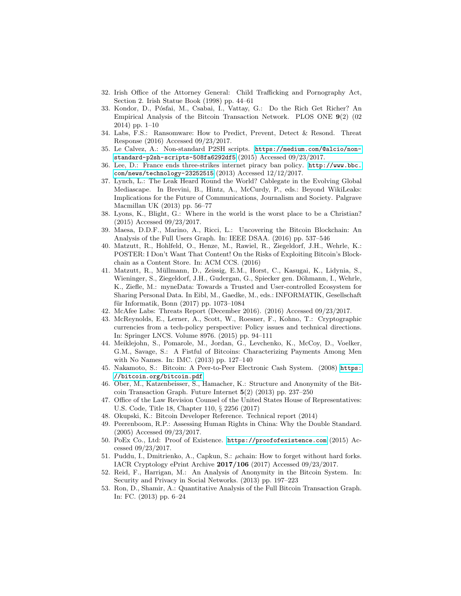- <span id="page-16-13"></span>32. Irish Office of the Attorney General: Child Trafficking and Pornography Act, Section 2. Irish Statue Book (1998) pp. 44–61
- <span id="page-16-17"></span>33. Kondor, D., Pósfai, M., Csabai, I., Vattay, G.: Do the Rich Get Richer? An Empirical Analysis of the Bitcoin Transaction Network. PLOS ONE 9(2) (02 2014) pp. 1–10
- <span id="page-16-9"></span>34. Labs, F.S.: Ransomware: How to Predict, Prevent, Detect & Resond. Threat Response (2016) Accessed 09/23/2017.
- <span id="page-16-4"></span>35. Le Calvez, A.: Non-standard P2SH scripts. [https://medium.com/@alcio/non](https://medium.com/@alcio/non-standard-p2sh-scripts-508fa6292df5)[standard-p2sh-scripts-508fa6292df5](https://medium.com/@alcio/non-standard-p2sh-scripts-508fa6292df5) (2015) Accessed 09/23/2017.
- <span id="page-16-7"></span>36. Lee, D.: France ends three-strikes internet piracy ban policy. [http://www.bbc.](http://www.bbc.com/news/technology-23252515) [com/news/technology-23252515](http://www.bbc.com/news/technology-23252515) (2013) Accessed 12/12/2017.
- <span id="page-16-14"></span>37. Lynch, L.: The Leak Heard Round the World? Cablegate in the Evolving Global Mediascape. In Brevini, B., Hintz, A., McCurdy, P., eds.: Beyond WikiLeaks: Implications for the Future of Communications, Journalism and Society. Palgrave Macmillan UK (2013) pp. 56–77
- <span id="page-16-11"></span>38. Lyons, K., Blight, G.: Where in the world is the worst place to be a Christian? (2015) Accessed 09/23/2017.
- <span id="page-16-18"></span>39. Maesa, D.D.F., Marino, A., Ricci, L.: Uncovering the Bitcoin Blockchain: An Analysis of the Full Users Graph. In: IEEE DSAA. (2016) pp. 537–546
- <span id="page-16-3"></span>40. Matzutt, R., Hohlfeld, O., Henze, M., Rawiel, R., Ziegeldorf, J.H., Wehrle, K.: POSTER: I Don't Want That Content! On the Risks of Exploiting Bitcoin's Blockchain as a Content Store. In: ACM CCS. (2016)
- <span id="page-16-1"></span>41. Matzutt, R., Müllmann, D., Zeissig, E.M., Horst, C., Kasugai, K., Lidynia, S., Wieninger, S., Ziegeldorf, J.H., Gudergan, G., Spiecker gen. Döhmann, I., Wehrle, K., Ziefle, M.: myneData: Towards a Trusted and User-controlled Ecosystem for Sharing Personal Data. In Eibl, M., Gaedke, M., eds.: INFORMATIK, Gesellschaft für Informatik, Bonn  $(2017)$  pp. 1073–1084
- <span id="page-16-8"></span>42. McAfee Labs: Threats Report (December 2016). (2016) Accessed 09/23/2017.
- <span id="page-16-6"></span>43. McReynolds, E., Lerner, A., Scott, W., Roesner, F., Kohno, T.: Cryptographic currencies from a tech-policy perspective: Policy issues and technical directions. In: Springer LNCS. Volume 8976. (2015) pp. 94–111
- <span id="page-16-21"></span>44. Meiklejohn, S., Pomarole, M., Jordan, G., Levchenko, K., McCoy, D., Voelker, G.M., Savage, S.: A Fistful of Bitcoins: Characterizing Payments Among Men with No Names. In: IMC. (2013) pp. 127–140
- <span id="page-16-0"></span>45. Nakamoto, S.: Bitcoin: A Peer-to-Peer Electronic Cash System. (2008) [https:](https://bitcoin.org/bitcoin.pdf) [//bitcoin.org/bitcoin.pdf](https://bitcoin.org/bitcoin.pdf).
- <span id="page-16-20"></span>46. Ober, M., Katzenbeisser, S., Hamacher, K.: Structure and Anonymity of the Bitcoin Transaction Graph. Future Internet 5(2) (2013) pp. 237–250
- <span id="page-16-12"></span>47. Office of the Law Revision Counsel of the United States House of Representatives: U.S. Code, Title 18, Chapter 110, § 2256 (2017)
- <span id="page-16-5"></span>48. Okupski, K.: Bitcoin Developer Reference. Technical report (2014)
- <span id="page-16-10"></span>49. Peerenboom, R.P.: Assessing Human Rights in China: Why the Double Standard. (2005) Accessed 09/23/2017.
- <span id="page-16-2"></span>50. PoEx Co., Ltd: Proof of Existence. <https://proofofexistence.com> (2015) Accessed 09/23/2017.
- <span id="page-16-15"></span>51. Puddu, I., Dmitrienko, A., Capkun, S.: µchain: How to forget without hard forks. IACR Cryptology ePrint Archive 2017/106 (2017) Accessed 09/23/2017.
- <span id="page-16-19"></span>52. Reid, F., Harrigan, M.: An Analysis of Anonymity in the Bitcoin System. In: Security and Privacy in Social Networks. (2013) pp. 197–223
- <span id="page-16-16"></span>53. Ron, D., Shamir, A.: Quantitative Analysis of the Full Bitcoin Transaction Graph. In: FC. (2013) pp. 6–24